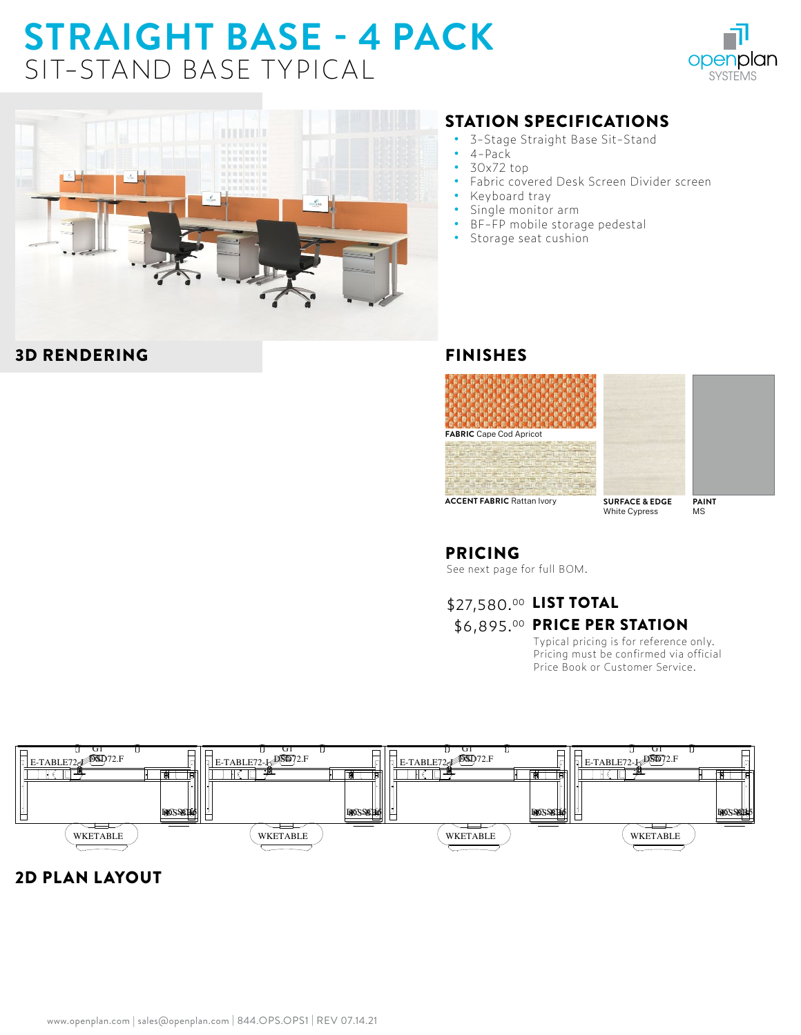# **STRAIGHT BASE - 4 PACK**  SIT-STAND BASE TYPICAL





#### 3D RENDERING

#### STATION SPECIFICATIONS

- **•** 3-Stage Straight Base Sit-Stand
- **•** 4-Pack
- **•** 30x72 top
- **•** Fabric covered Desk Screen Divider screen
- **•** Keyboard tray
- **•** Single monitor arm
- **•** BF-FP mobile storage pedestal
- **•** Storage seat cushion

#### FINISHES







**ACCENT FABRIC** Rattan Ivory

**SURFACE & EDGE** White Cypress

MS

### PRICING

See next page for full BOM.

## \$27,580.00 LIST TOTAL **\$6,895.00 PRICE PER STATION**

Typical pricing is for reference only. Pricing must be confirmed via official Price Book or Customer Service.



## 2D PLAN LAYOUT